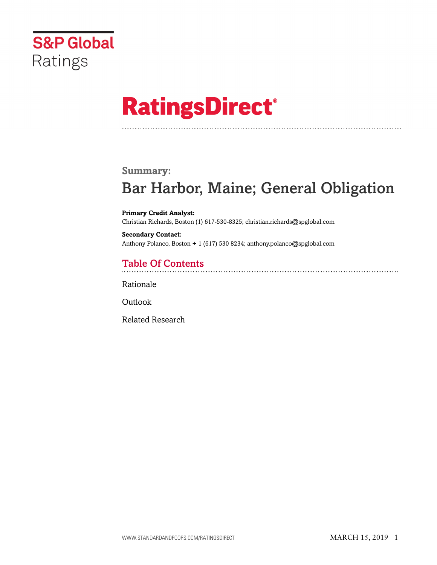

# **RatingsDirect®**

### **Summary:**

# Bar Harbor, Maine; General Obligation

**Primary Credit Analyst:** Christian Richards, Boston (1) 617-530-8325; christian.richards@spglobal.com

**Secondary Contact:** Anthony Polanco, Boston + 1 (617) 530 8234; anthony.polanco@spglobal.com

# Table Of Contents

[Rationale](#page-1-0)

**[Outlook](#page-5-0)** 

[Related Research](#page-5-1)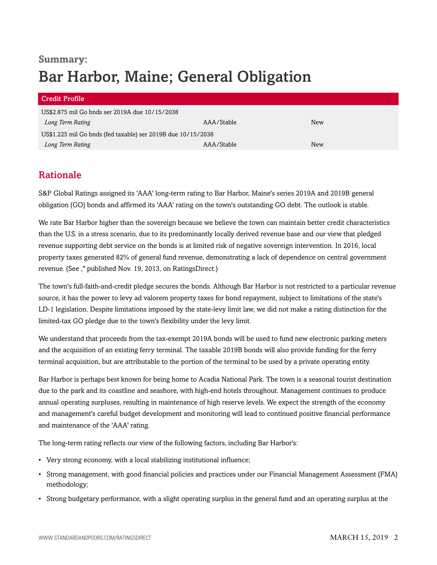# **Summary:** Bar Harbor, Maine; General Obligation

#### Credit Profile

| US\$2.875 mil Go bnds ser 2019A due 10/15/2038               |            |     |  |
|--------------------------------------------------------------|------------|-----|--|
| Long Term Rating                                             | AAA/Stable | New |  |
| US\$1.225 mil Go bnds (fed taxable) ser 2019B due 10/15/2038 |            |     |  |
| Long Term Rating                                             | AAA/Stable | New |  |

## <span id="page-1-0"></span>Rationale

S&P Global Ratings assigned its 'AAA' long-term rating to Bar Harbor, Maine's series 2019A and 2019B general obligation (GO) bonds and affirmed its 'AAA' rating on the town's outstanding GO debt. The outlook is stable.

We rate Bar Harbor higher than the sovereign because we believe the town can maintain better credit characteristics than the U.S. in a stress scenario, due to its predominantly locally derived revenue base and our view that pledged revenue supporting debt service on the bonds is at limited risk of negative sovereign intervention. In 2016, local property taxes generated 82% of general fund revenue, demonstrating a lack of dependence on central government revenue. (See ," published Nov. 19, 2013, on RatingsDirect.)

The town's full-faith-and-credit pledge secures the bonds. Although Bar Harbor is not restricted to a particular revenue source, it has the power to levy ad valorem property taxes for bond repayment, subject to limitations of the state's LD-1 legislation. Despite limitations imposed by the state-levy limit law, we did not make a rating distinction for the limited-tax GO pledge due to the town's flexibility under the levy limit.

We understand that proceeds from the tax-exempt 2019A bonds will be used to fund new electronic parking meters and the acquisition of an existing ferry terminal. The taxable 2019B bonds will also provide funding for the ferry terminal acquisition, but are attributable to the portion of the terminal to be used by a private operating entity.

Bar Harbor is perhaps best known for being home to Acadia National Park. The town is a seasonal tourist destination due to the park and its coastline and seashore, with high-end hotels throughout. Management continues to produce annual operating surpluses, resulting in maintenance of high reserve levels. We expect the strength of the economy and management's careful budget development and monitoring will lead to continued positive financial performance and maintenance of the 'AAA' rating.

The long-term rating reflects our view of the following factors, including Bar Harbor's:

- Very strong economy, with a local stabilizing institutional influence;
- Strong management, with good financial policies and practices under our Financial Management Assessment (FMA) methodology;
- Strong budgetary performance, with a slight operating surplus in the general fund and an operating surplus at the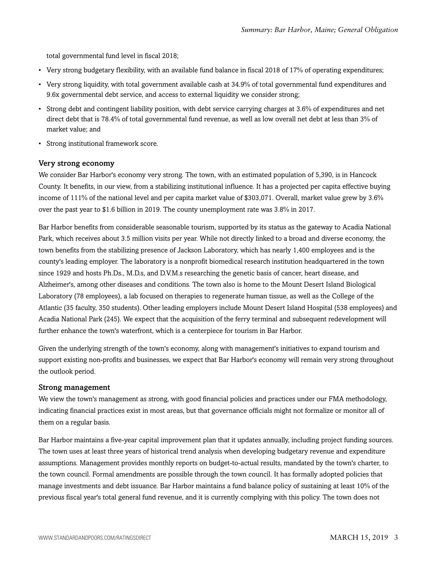total governmental fund level in fiscal 2018;

- Very strong budgetary flexibility, with an available fund balance in fiscal 2018 of 17% of operating expenditures;
- Very strong liquidity, with total government available cash at 34.9% of total governmental fund expenditures and 9.6x governmental debt service, and access to external liquidity we consider strong;
- Strong debt and contingent liability position, with debt service carrying charges at 3.6% of expenditures and net direct debt that is 78.4% of total governmental fund revenue, as well as low overall net debt at less than 3% of market value; and
- Strong institutional framework score.

#### Very strong economy

We consider Bar Harbor's economy very strong. The town, with an estimated population of 5,390, is in Hancock County. It benefits, in our view, from a stabilizing institutional influence. It has a projected per capita effective buying income of 111% of the national level and per capita market value of \$303,071. Overall, market value grew by 3.6% over the past year to \$1.6 billion in 2019. The county unemployment rate was 3.8% in 2017.

Bar Harbor benefits from considerable seasonable tourism, supported by its status as the gateway to Acadia National Park, which receives about 3.5 million visits per year. While not directly linked to a broad and diverse economy, the town benefits from the stabilizing presence of Jackson Laboratory, which has nearly 1,400 employees and is the county's leading employer. The laboratory is a nonprofit biomedical research institution headquartered in the town since 1929 and hosts Ph.Ds., M.D.s, and D.V.M.s researching the genetic basis of cancer, heart disease, and Alzheimer's, among other diseases and conditions. The town also is home to the Mount Desert Island Biological Laboratory (78 employees), a lab focused on therapies to regenerate human tissue, as well as the College of the Atlantic (35 faculty, 350 students). Other leading employers include Mount Desert Island Hospital (538 employees) and Acadia National Park (245). We expect that the acquisition of the ferry terminal and subsequent redevelopment will further enhance the town's waterfront, which is a centerpiece for tourism in Bar Harbor.

Given the underlying strength of the town's economy, along with management's initiatives to expand tourism and support existing non-profits and businesses, we expect that Bar Harbor's economy will remain very strong throughout the outlook period.

#### Strong management

We view the town's management as strong, with good financial policies and practices under our FMA methodology, indicating financial practices exist in most areas, but that governance officials might not formalize or monitor all of them on a regular basis.

Bar Harbor maintains a five-year capital improvement plan that it updates annually, including project funding sources. The town uses at least three years of historical trend analysis when developing budgetary revenue and expenditure assumptions. Management provides monthly reports on budget-to-actual results, mandated by the town's charter, to the town council. Formal amendments are possible through the town council. It has formally adopted policies that manage investments and debt issuance. Bar Harbor maintains a fund balance policy of sustaining at least 10% of the previous fiscal year's total general fund revenue, and it is currently complying with this policy. The town does not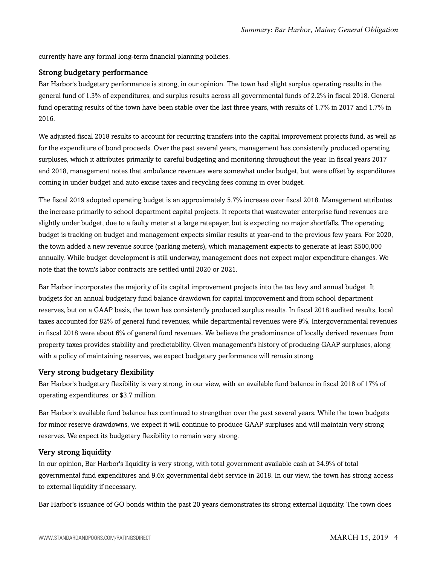currently have any formal long-term financial planning policies.

#### Strong budgetary performance

Bar Harbor's budgetary performance is strong, in our opinion. The town had slight surplus operating results in the general fund of 1.3% of expenditures, and surplus results across all governmental funds of 2.2% in fiscal 2018. General fund operating results of the town have been stable over the last three years, with results of 1.7% in 2017 and 1.7% in 2016.

We adjusted fiscal 2018 results to account for recurring transfers into the capital improvement projects fund, as well as for the expenditure of bond proceeds. Over the past several years, management has consistently produced operating surpluses, which it attributes primarily to careful budgeting and monitoring throughout the year. In fiscal years 2017 and 2018, management notes that ambulance revenues were somewhat under budget, but were offset by expenditures coming in under budget and auto excise taxes and recycling fees coming in over budget.

The fiscal 2019 adopted operating budget is an approximately 5.7% increase over fiscal 2018. Management attributes the increase primarily to school department capital projects. It reports that wastewater enterprise fund revenues are slightly under budget, due to a faulty meter at a large ratepayer, but is expecting no major shortfalls. The operating budget is tracking on budget and management expects similar results at year-end to the previous few years. For 2020, the town added a new revenue source (parking meters), which management expects to generate at least \$500,000 annually. While budget development is still underway, management does not expect major expenditure changes. We note that the town's labor contracts are settled until 2020 or 2021.

Bar Harbor incorporates the majority of its capital improvement projects into the tax levy and annual budget. It budgets for an annual budgetary fund balance drawdown for capital improvement and from school department reserves, but on a GAAP basis, the town has consistently produced surplus results. In fiscal 2018 audited results, local taxes accounted for 82% of general fund revenues, while departmental revenues were 9%. Intergovernmental revenues in fiscal 2018 were about 6% of general fund revenues. We believe the predominance of locally derived revenues from property taxes provides stability and predictability. Given management's history of producing GAAP surpluses, along with a policy of maintaining reserves, we expect budgetary performance will remain strong.

#### Very strong budgetary flexibility

Bar Harbor's budgetary flexibility is very strong, in our view, with an available fund balance in fiscal 2018 of 17% of operating expenditures, or \$3.7 million.

Bar Harbor's available fund balance has continued to strengthen over the past several years. While the town budgets for minor reserve drawdowns, we expect it will continue to produce GAAP surpluses and will maintain very strong reserves. We expect its budgetary flexibility to remain very strong.

#### Very strong liquidity

In our opinion, Bar Harbor's liquidity is very strong, with total government available cash at 34.9% of total governmental fund expenditures and 9.6x governmental debt service in 2018. In our view, the town has strong access to external liquidity if necessary.

Bar Harbor's issuance of GO bonds within the past 20 years demonstrates its strong external liquidity. The town does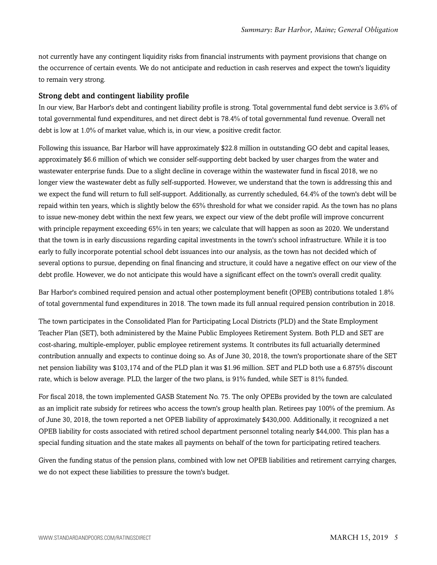not currently have any contingent liquidity risks from financial instruments with payment provisions that change on the occurrence of certain events. We do not anticipate and reduction in cash reserves and expect the town's liquidity to remain very strong.

#### Strong debt and contingent liability profile

In our view, Bar Harbor's debt and contingent liability profile is strong. Total governmental fund debt service is 3.6% of total governmental fund expenditures, and net direct debt is 78.4% of total governmental fund revenue. Overall net debt is low at 1.0% of market value, which is, in our view, a positive credit factor.

Following this issuance, Bar Harbor will have approximately \$22.8 million in outstanding GO debt and capital leases, approximately \$6.6 million of which we consider self-supporting debt backed by user charges from the water and wastewater enterprise funds. Due to a slight decline in coverage within the wastewater fund in fiscal 2018, we no longer view the wastewater debt as fully self-supported. However, we understand that the town is addressing this and we expect the fund will return to full self-support. Additionally, as currently scheduled, 64.4% of the town's debt will be repaid within ten years, which is slightly below the 65% threshold for what we consider rapid. As the town has no plans to issue new-money debt within the next few years, we expect our view of the debt profile will improve concurrent with principle repayment exceeding 65% in ten years; we calculate that will happen as soon as 2020. We understand that the town is in early discussions regarding capital investments in the town's school infrastructure. While it is too early to fully incorporate potential school debt issuances into our analysis, as the town has not decided which of several options to pursue, depending on final financing and structure, it could have a negative effect on our view of the debt profile. However, we do not anticipate this would have a significant effect on the town's overall credit quality.

Bar Harbor's combined required pension and actual other postemployment benefit (OPEB) contributions totaled 1.8% of total governmental fund expenditures in 2018. The town made its full annual required pension contribution in 2018.

The town participates in the Consolidated Plan for Participating Local Districts (PLD) and the State Employment Teacher Plan (SET), both administered by the Maine Public Employees Retirement System. Both PLD and SET are cost-sharing, multiple-employer, public employee retirement systems. It contributes its full actuarially determined contribution annually and expects to continue doing so. As of June 30, 2018, the town's proportionate share of the SET net pension liability was \$103,174 and of the PLD plan it was \$1.96 million. SET and PLD both use a 6.875% discount rate, which is below average. PLD, the larger of the two plans, is 91% funded, while SET is 81% funded.

For fiscal 2018, the town implemented GASB Statement No. 75. The only OPEBs provided by the town are calculated as an implicit rate subsidy for retirees who access the town's group health plan. Retirees pay 100% of the premium. As of June 30, 2018, the town reported a net OPEB liability of approximately \$430,000. Additionally, it recognized a net OPEB liability for costs associated with retired school department personnel totaling nearly \$44,000. This plan has a special funding situation and the state makes all payments on behalf of the town for participating retired teachers.

Given the funding status of the pension plans, combined with low net OPEB liabilities and retirement carrying charges, we do not expect these liabilities to pressure the town's budget.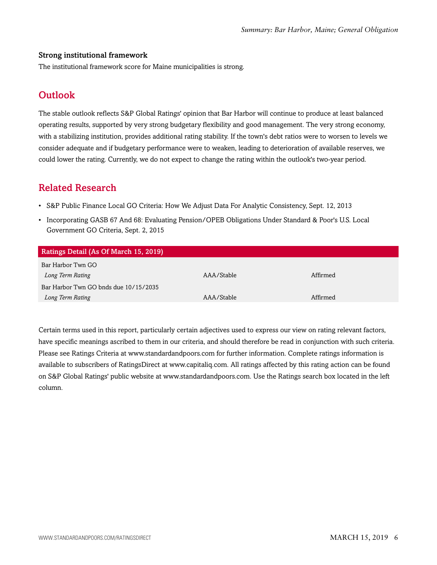#### Strong institutional framework

<span id="page-5-0"></span>The institutional framework score for Maine municipalities is strong.

# **Outlook**

The stable outlook reflects S&P Global Ratings' opinion that Bar Harbor will continue to produce at least balanced operating results, supported by very strong budgetary flexibility and good management. The very strong economy, with a stabilizing institution, provides additional rating stability. If the town's debt ratios were to worsen to levels we consider adequate and if budgetary performance were to weaken, leading to deterioration of available reserves, we could lower the rating. Currently, we do not expect to change the rating within the outlook's two-year period.

## <span id="page-5-1"></span>Related Research

- S&P Public Finance Local GO Criteria: How We Adjust Data For Analytic Consistency, Sept. 12, 2013
- Incorporating GASB 67 And 68: Evaluating Pension/OPEB Obligations Under Standard & Poor's U.S. Local Government GO Criteria, Sept. 2, 2015

| Ratings Detail (As Of March 15, 2019) |            |          |  |
|---------------------------------------|------------|----------|--|
| Bar Harbor Twn GO                     |            |          |  |
| Long Term Rating                      | AAA/Stable | Affirmed |  |
| Bar Harbor Twn GO bnds due 10/15/2035 |            |          |  |
| Long Term Rating                      | AAA/Stable | Affirmed |  |

Certain terms used in this report, particularly certain adjectives used to express our view on rating relevant factors, have specific meanings ascribed to them in our criteria, and should therefore be read in conjunction with such criteria. Please see Ratings Criteria at www.standardandpoors.com for further information. Complete ratings information is available to subscribers of RatingsDirect at www.capitaliq.com. All ratings affected by this rating action can be found on S&P Global Ratings' public website at www.standardandpoors.com. Use the Ratings search box located in the left column.